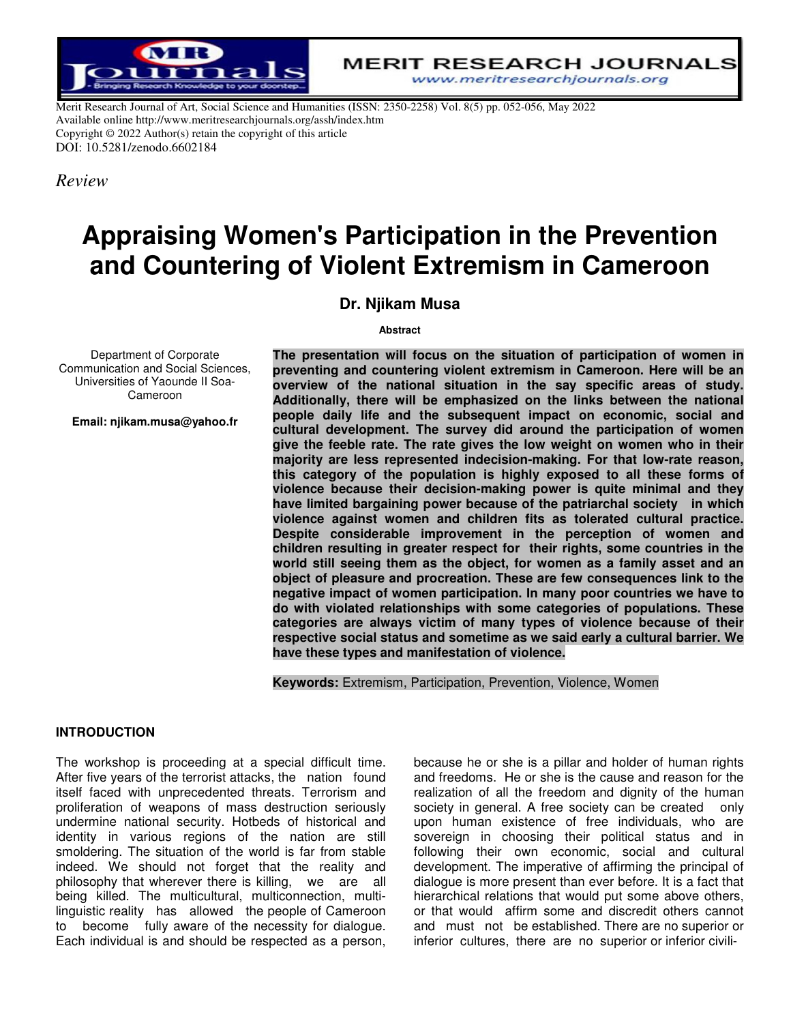

**MERIT RESEARCH JOURNALS** www.meritresearchjournals.org

Merit Research Journal of Art, Social Science and Humanities (ISSN: 2350-2258) Vol. 8(5) pp. 052-056, May 2022 Available online http://www.meritresearchjournals.org/assh/index.htm Copyright © 2022 Author(s) retain the copyright of this article DOI: 10.5281/zenodo.6602184

*Review*

# **Appraising Women's Participation in the Prevention and Countering of Violent Extremism in Cameroon**

# **Dr. Njikam Musa**

#### **Abstract**

Department of Corporate Communication and Social Sciences, Universities of Yaounde II Soa-Cameroon

**Email: njikam.musa@yahoo.fr**

**The presentation will focus on the situation of participation of women in preventing and countering violent extremism in Cameroon. Here will be an overview of the national situation in the say specific areas of study. Additionally, there will be emphasized on the links between the national people daily life and the subsequent impact on economic, social and cultural development. The survey did around the participation of women give the feeble rate. The rate gives the low weight on women who in their majority are less represented indecision-making. For that low-rate reason, this category of the population is highly exposed to all these forms of violence because their decision-making power is quite minimal and they have limited bargaining power because of the patriarchal society in which violence against women and children fits as tolerated cultural practice. Despite considerable improvement in the perception of women and children resulting in greater respect for their rights, some countries in the world still seeing them as the object, for women as a family asset and an object of pleasure and procreation. These are few consequences link to the negative impact of women participation. In many poor countries we have to do with violated relationships with some categories of populations. These categories are always victim of many types of violence because of their respective social status and sometime as we said early a cultural barrier. We have these types and manifestation of violence.** 

**Keywords:** Extremism, Participation, Prevention, Violence, Women

## **INTRODUCTION**

The workshop is proceeding at a special difficult time. After five years of the terrorist attacks, the nation found itself faced with unprecedented threats. Terrorism and proliferation of weapons of mass destruction seriously undermine national security. Hotbeds of historical and identity in various regions of the nation are still smoldering. The situation of the world is far from stable indeed. We should not forget that the reality and philosophy that wherever there is killing, we are all being killed. The multicultural, multiconnection, multilinguistic reality has allowed the people of Cameroon to become fully aware of the necessity for dialogue. Each individual is and should be respected as a person,

because he or she is a pillar and holder of human rights and freedoms. He or she is the cause and reason for the realization of all the freedom and dignity of the human society in general. A free society can be created only upon human existence of free individuals, who are sovereign in choosing their political status and in following their own economic, social and cultural development. The imperative of affirming the principal of dialogue is more present than ever before. It is a fact that hierarchical relations that would put some above others, or that would affirm some and discredit others cannot and must not be established. There are no superior or inferior cultures, there are no superior or inferior civili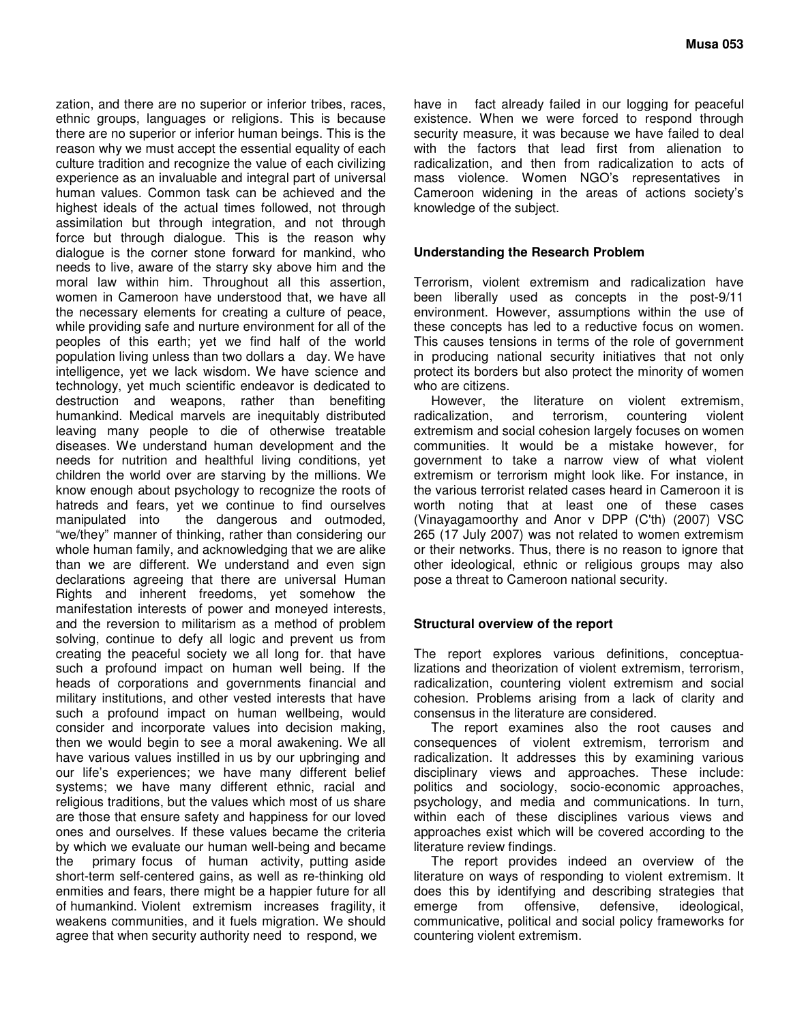zation, and there are no superior or inferior tribes, races, ethnic groups, languages or religions. This is because there are no superior or inferior human beings. This is the reason why we must accept the essential equality of each culture tradition and recognize the value of each civilizing experience as an invaluable and integral part of universal human values. Common task can be achieved and the highest ideals of the actual times followed, not through assimilation but through integration, and not through force but through dialogue. This is the reason why dialogue is the corner stone forward for mankind, who needs to live, aware of the starry sky above him and the moral law within him. Throughout all this assertion, women in Cameroon have understood that, we have all the necessary elements for creating a culture of peace, while providing safe and nurture environment for all of the peoples of this earth; yet we find half of the world population living unless than two dollars a day. We have intelligence, yet we lack wisdom. We have science and technology, yet much scientific endeavor is dedicated to destruction and weapons, rather than benefiting humankind. Medical marvels are inequitably distributed leaving many people to die of otherwise treatable diseases. We understand human development and the needs for nutrition and healthful living conditions, yet children the world over are starving by the millions. We know enough about psychology to recognize the roots of hatreds and fears, yet we continue to find ourselves manipulated into the dangerous and outmoded, the dangerous and outmoded, "we/they" manner of thinking, rather than considering our whole human family, and acknowledging that we are alike than we are different. We understand and even sign declarations agreeing that there are universal Human Rights and inherent freedoms, yet somehow the manifestation interests of power and moneyed interests, and the reversion to militarism as a method of problem solving, continue to defy all logic and prevent us from creating the peaceful society we all long for. that have such a profound impact on human well being. If the heads of corporations and governments financial and military institutions, and other vested interests that have such a profound impact on human wellbeing, would consider and incorporate values into decision making, then we would begin to see a moral awakening. We all have various values instilled in us by our upbringing and our life's experiences; we have many different belief systems; we have many different ethnic, racial and religious traditions, but the values which most of us share are those that ensure safety and happiness for our loved ones and ourselves. If these values became the criteria by which we evaluate our human well-being and became the primary focus of human activity, putting aside short-term self-centered gains, as well as re-thinking old enmities and fears, there might be a happier future for all of humankind. Violent extremism increases fragility, it weakens communities, and it fuels migration. We should agree that when security authority need to respond, we

have in fact already failed in our logging for peaceful existence. When we were forced to respond through security measure, it was because we have failed to deal with the factors that lead first from alienation to radicalization, and then from radicalization to acts of mass violence. Women NGO's representatives in Cameroon widening in the areas of actions society's knowledge of the subject.

#### **Understanding the Research Problem**

Terrorism, violent extremism and radicalization have been liberally used as concepts in the post-9/11 environment. However, assumptions within the use of these concepts has led to a reductive focus on women. This causes tensions in terms of the role of government in producing national security initiatives that not only protect its borders but also protect the minority of women who are citizens.

However, the literature on violent extremism, radicalization, and terrorism, countering violent extremism and social cohesion largely focuses on women communities. It would be a mistake however, for government to take a narrow view of what violent extremism or terrorism might look like. For instance, in the various terrorist related cases heard in Cameroon it is worth noting that at least one of these cases (Vinayagamoorthy and Anor v DPP (C'th) (2007) VSC 265 (17 July 2007) was not related to women extremism or their networks. Thus, there is no reason to ignore that other ideological, ethnic or religious groups may also pose a threat to Cameroon national security.

## **Structural overview of the report**

The report explores various definitions, conceptualizations and theorization of violent extremism, terrorism, radicalization, countering violent extremism and social cohesion. Problems arising from a lack of clarity and consensus in the literature are considered.

The report examines also the root causes and consequences of violent extremism, terrorism and radicalization. It addresses this by examining various disciplinary views and approaches. These include: politics and sociology, socio-economic approaches, psychology, and media and communications. In turn, within each of these disciplines various views and approaches exist which will be covered according to the literature review findings.

The report provides indeed an overview of the literature on ways of responding to violent extremism. It does this by identifying and describing strategies that emerge from offensive, defensive, ideological, communicative, political and social policy frameworks for countering violent extremism.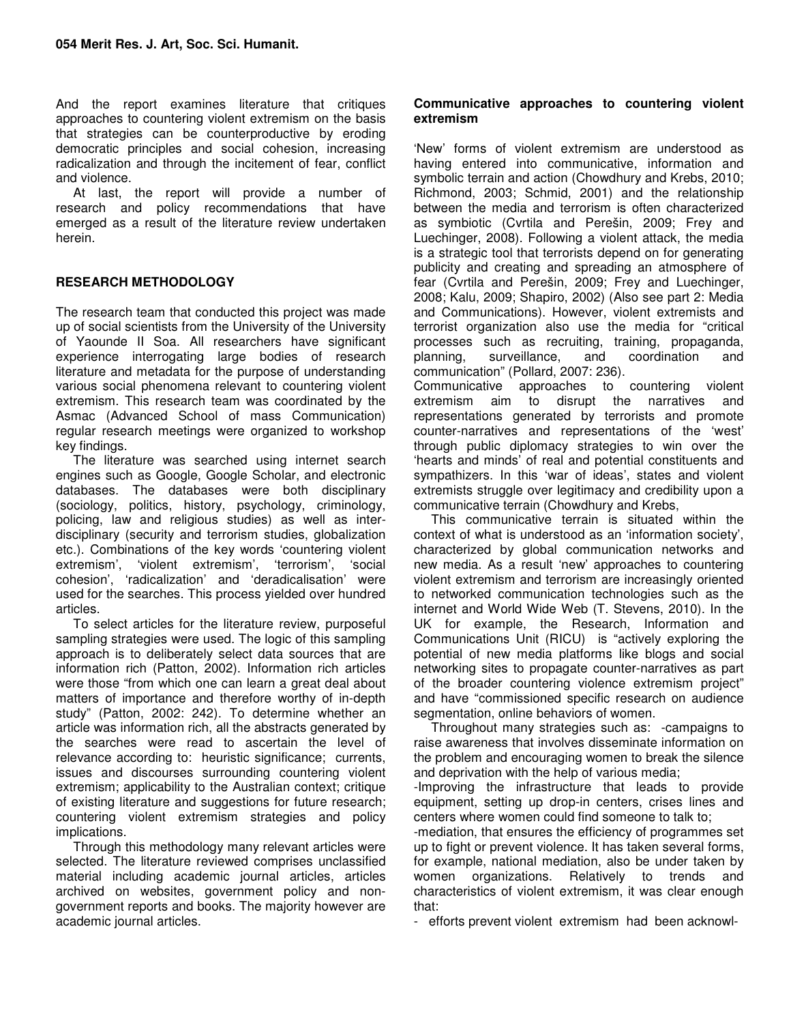And the report examines literature that critiques approaches to countering violent extremism on the basis that strategies can be counterproductive by eroding democratic principles and social cohesion, increasing radicalization and through the incitement of fear, conflict and violence.

At last, the report will provide a number of research and policy recommendations that have emerged as a result of the literature review undertaken herein.

## **RESEARCH METHODOLOGY**

The research team that conducted this project was made up of social scientists from the University of the University of Yaounde II Soa. All researchers have significant experience interrogating large bodies of research literature and metadata for the purpose of understanding various social phenomena relevant to countering violent extremism. This research team was coordinated by the Asmac (Advanced School of mass Communication) regular research meetings were organized to workshop key findings.

The literature was searched using internet search engines such as Google, Google Scholar, and electronic databases. The databases were both disciplinary (sociology, politics, history, psychology, criminology, policing, law and religious studies) as well as interdisciplinary (security and terrorism studies, globalization etc.). Combinations of the key words 'countering violent extremism', 'violent extremism', 'terrorism', 'social cohesion', 'radicalization' and 'deradicalisation' were used for the searches. This process yielded over hundred articles.

To select articles for the literature review, purposeful sampling strategies were used. The logic of this sampling approach is to deliberately select data sources that are information rich (Patton, 2002). Information rich articles were those "from which one can learn a great deal about matters of importance and therefore worthy of in-depth study" (Patton, 2002: 242). To determine whether an article was information rich, all the abstracts generated by the searches were read to ascertain the level of relevance according to: heuristic significance; currents, issues and discourses surrounding countering violent extremism; applicability to the Australian context; critique of existing literature and suggestions for future research; countering violent extremism strategies and policy implications.

Through this methodology many relevant articles were selected. The literature reviewed comprises unclassified material including academic journal articles, articles archived on websites, government policy and nongovernment reports and books. The majority however are academic journal articles.

#### **Communicative approaches to countering violent extremism**

'New' forms of violent extremism are understood as having entered into communicative, information and symbolic terrain and action (Chowdhury and Krebs, 2010; Richmond, 2003; Schmid, 2001) and the relationship between the media and terrorism is often characterized as symbiotic (Cvrtila and Perešin, 2009; Frey and Luechinger, 2008). Following a violent attack, the media is a strategic tool that terrorists depend on for generating publicity and creating and spreading an atmosphere of fear (Cvrtila and Perešin, 2009; Frey and Luechinger, 2008; Kalu, 2009; Shapiro, 2002) (Also see part 2: Media and Communications). However, violent extremists and terrorist organization also use the media for "critical processes such as recruiting, training, propaganda, planning, surveillance, and coordination and communication" (Pollard, 2007: 236).

Communicative approaches to countering violent extremism aim to disrupt the narratives and representations generated by terrorists and promote counter-narratives and representations of the 'west' through public diplomacy strategies to win over the 'hearts and minds' of real and potential constituents and sympathizers. In this 'war of ideas', states and violent extremists struggle over legitimacy and credibility upon a communicative terrain (Chowdhury and Krebs,

This communicative terrain is situated within the context of what is understood as an 'information society', characterized by global communication networks and new media. As a result 'new' approaches to countering violent extremism and terrorism are increasingly oriented to networked communication technologies such as the internet and World Wide Web (T. Stevens, 2010). In the UK for example, the Research, Information and Communications Unit (RICU) is "actively exploring the potential of new media platforms like blogs and social networking sites to propagate counter-narratives as part of the broader countering violence extremism project" and have "commissioned specific research on audience segmentation, online behaviors of women.

Throughout many strategies such as: -campaigns to raise awareness that involves disseminate information on the problem and encouraging women to break the silence and deprivation with the help of various media;

-Improving the infrastructure that leads to provide equipment, setting up drop-in centers, crises lines and centers where women could find someone to talk to;

-mediation, that ensures the efficiency of programmes set up to fight or prevent violence. It has taken several forms, for example, national mediation, also be under taken by women organizations. Relatively to trends and characteristics of violent extremism, it was clear enough that:

- efforts prevent violent extremism had been acknowl-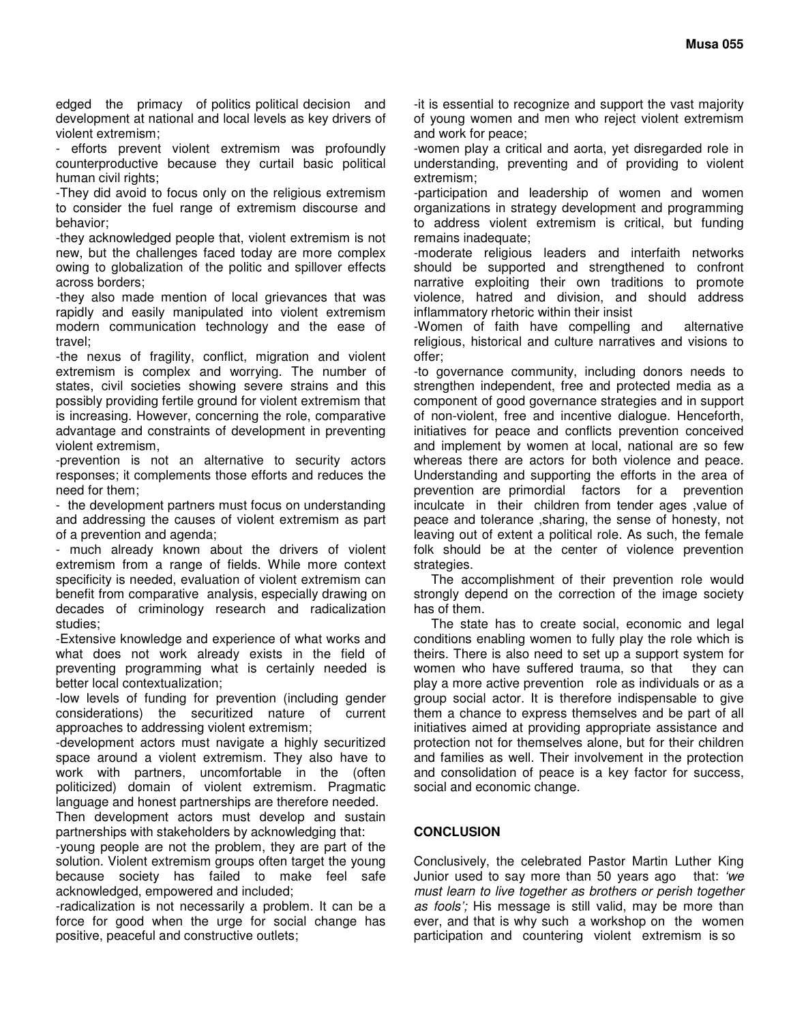edged the primacy of politics political decision and development at national and local levels as key drivers of violent extremism;

efforts prevent violent extremism was profoundly counterproductive because they curtail basic political human civil rights;

-They did avoid to focus only on the religious extremism to consider the fuel range of extremism discourse and behavior;

-they acknowledged people that, violent extremism is not new, but the challenges faced today are more complex owing to globalization of the politic and spillover effects across borders;

-they also made mention of local grievances that was rapidly and easily manipulated into violent extremism modern communication technology and the ease of travel;

-the nexus of fragility, conflict, migration and violent extremism is complex and worrying. The number of states, civil societies showing severe strains and this possibly providing fertile ground for violent extremism that is increasing. However, concerning the role, comparative advantage and constraints of development in preventing violent extremism,

-prevention is not an alternative to security actors responses; it complements those efforts and reduces the need for them;

- the development partners must focus on understanding and addressing the causes of violent extremism as part of a prevention and agenda;

- much already known about the drivers of violent extremism from a range of fields. While more context specificity is needed, evaluation of violent extremism can benefit from comparative analysis, especially drawing on decades of criminology research and radicalization studies;

-Extensive knowledge and experience of what works and what does not work already exists in the field of preventing programming what is certainly needed is better local contextualization;

-low levels of funding for prevention (including gender considerations) the securitized nature of current approaches to addressing violent extremism;

-development actors must navigate a highly securitized space around a violent extremism. They also have to work with partners, uncomfortable in the (often politicized) domain of violent extremism. Pragmatic language and honest partnerships are therefore needed.

Then development actors must develop and sustain partnerships with stakeholders by acknowledging that:

-young people are not the problem, they are part of the solution. Violent extremism groups often target the young because society has failed to make feel safe acknowledged, empowered and included;

-radicalization is not necessarily a problem. It can be a force for good when the urge for social change has positive, peaceful and constructive outlets;

-it is essential to recognize and support the vast majority of young women and men who reject violent extremism and work for peace;

-women play a critical and aorta, yet disregarded role in understanding, preventing and of providing to violent extremism;

-participation and leadership of women and women organizations in strategy development and programming to address violent extremism is critical, but funding remains inadequate;

-moderate religious leaders and interfaith networks should be supported and strengthened to confront narrative exploiting their own traditions to promote violence, hatred and division, and should address inflammatory rhetoric within their insist

-Women of faith have compelling and alternative religious, historical and culture narratives and visions to offer;

-to governance community, including donors needs to strengthen independent, free and protected media as a component of good governance strategies and in support of non-violent, free and incentive dialogue. Henceforth, initiatives for peace and conflicts prevention conceived and implement by women at local, national are so few whereas there are actors for both violence and peace. Understanding and supporting the efforts in the area of prevention are primordial factors for a prevention inculcate in their children from tender ages ,value of peace and tolerance ,sharing, the sense of honesty, not leaving out of extent a political role. As such, the female folk should be at the center of violence prevention strategies.

The accomplishment of their prevention role would strongly depend on the correction of the image society has of them.

The state has to create social, economic and legal conditions enabling women to fully play the role which is theirs. There is also need to set up a support system for women who have suffered trauma, so that they can play a more active prevention role as individuals or as a group social actor. It is therefore indispensable to give them a chance to express themselves and be part of all initiatives aimed at providing appropriate assistance and protection not for themselves alone, but for their children and families as well. Their involvement in the protection and consolidation of peace is a key factor for success, social and economic change.

## **CONCLUSION**

Conclusively, the celebrated Pastor Martin Luther King Junior used to say more than 50 years ago that: 'we must learn to live together as brothers or perish together as fools'; His message is still valid, may be more than ever, and that is why such a workshop on the women participation and countering violent extremism is so